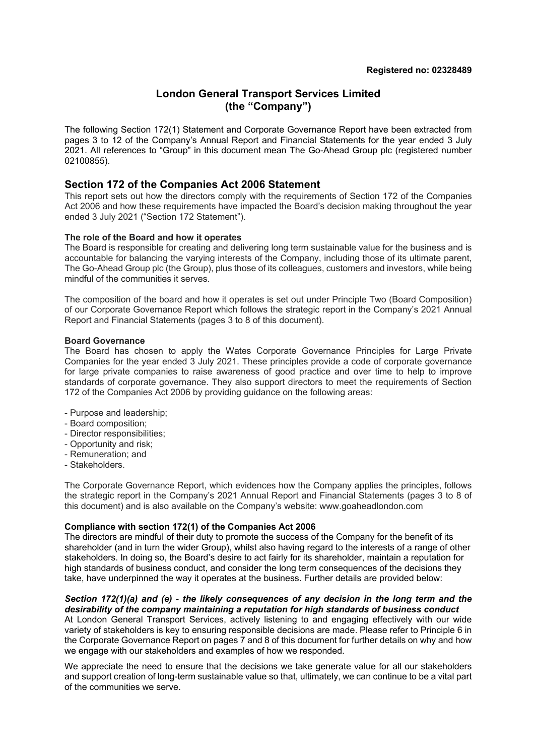# **London General Transport Services Limited (the "Company")**

The following Section 172(1) Statement and Corporate Governance Report have been extracted from pages 3 to 12 of the Company's Annual Report and Financial Statements for the year ended 3 July 2021. All references to "Group" in this document mean The Go-Ahead Group plc (registered number 02100855).

## **Section 172 of the Companies Act 2006 Statement**

This report sets out how the directors comply with the requirements of Section 172 of the Companies Act 2006 and how these requirements have impacted the Board's decision making throughout the year ended 3 July 2021 ("Section 172 Statement").

## **The role of the Board and how it operates**

The Board is responsible for creating and delivering long term sustainable value for the business and is accountable for balancing the varying interests of the Company, including those of its ultimate parent, The Go-Ahead Group plc (the Group), plus those of its colleagues, customers and investors, while being mindful of the communities it serves.

The composition of the board and how it operates is set out under Principle Two (Board Composition) of our Corporate Governance Report which follows the strategic report in the Company's 2021 Annual Report and Financial Statements (pages 3 to 8 of this document).

## **Board Governance**

The Board has chosen to apply the Wates Corporate Governance Principles for Large Private Companies for the year ended 3 July 2021. These principles provide a code of corporate governance for large private companies to raise awareness of good practice and over time to help to improve standards of corporate governance. They also support directors to meet the requirements of Section 172 of the Companies Act 2006 by providing guidance on the following areas:

- Purpose and leadership;
- Board composition;
- Director responsibilities;
- Opportunity and risk;
- Remuneration; and
- Stakeholders.

The Corporate Governance Report, which evidences how the Company applies the principles, follows the strategic report in the Company's 2021 Annual Report and Financial Statements (pages 3 to 8 of this document) and is also available on the Company's website: www.goaheadlondon.com

## **Compliance with section 172(1) of the Companies Act 2006**

The directors are mindful of their duty to promote the success of the Company for the benefit of its shareholder (and in turn the wider Group), whilst also having regard to the interests of a range of other stakeholders. In doing so, the Board's desire to act fairly for its shareholder, maintain a reputation for high standards of business conduct, and consider the long term consequences of the decisions they take, have underpinned the way it operates at the business. Further details are provided below:

#### *Section 172(1)(a) and (e) - the likely consequences of any decision in the long term and the desirability of the company maintaining a reputation for high standards of business conduct*

At London General Transport Services, actively listening to and engaging effectively with our wide variety of stakeholders is key to ensuring responsible decisions are made. Please refer to Principle 6 in the Corporate Governance Report on pages 7 and 8 of this document for further details on why and how we engage with our stakeholders and examples of how we responded.

We appreciate the need to ensure that the decisions we take generate value for all our stakeholders and support creation of long-term sustainable value so that, ultimately, we can continue to be a vital part of the communities we serve.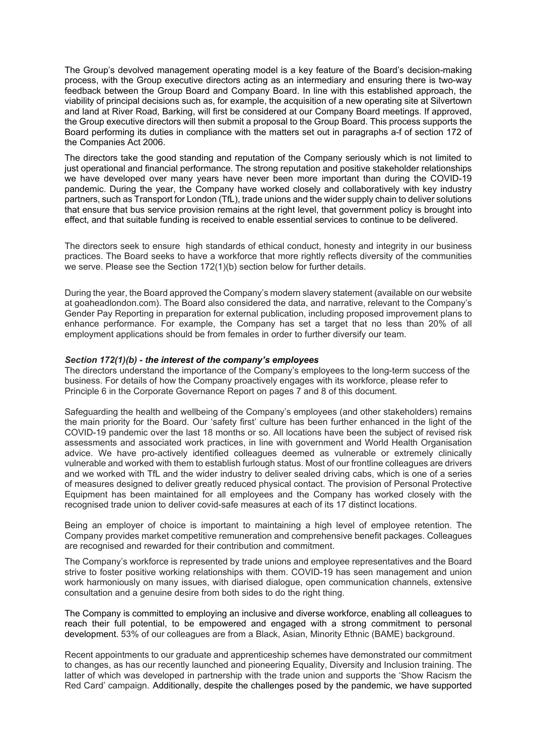The Group's devolved management operating model is a key feature of the Board's decision-making process, with the Group executive directors acting as an intermediary and ensuring there is two-way feedback between the Group Board and Company Board. In line with this established approach, the viability of principal decisions such as, for example, the acquisition of a new operating site at Silvertown and land at River Road, Barking, will first be considered at our Company Board meetings. If approved, the Group executive directors will then submit a proposal to the Group Board. This process supports the Board performing its duties in compliance with the matters set out in paragraphs a-f of section 172 of the Companies Act 2006.

The directors take the good standing and reputation of the Company seriously which is not limited to just operational and financial performance. The strong reputation and positive stakeholder relationships we have developed over many years have never been more important than during the COVID-19 pandemic. During the year, the Company have worked closely and collaboratively with key industry partners, such as Transport for London (TfL), trade unions and the wider supply chain to deliver solutions that ensure that bus service provision remains at the right level, that government policy is brought into effect, and that suitable funding is received to enable essential services to continue to be delivered.

The directors seek to ensure high standards of ethical conduct, honesty and integrity in our business practices. The Board seeks to have a workforce that more rightly reflects diversity of the communities we serve. Please see the Section 172(1)(b) section below for further details.

During the year, the Board approved the Company's modern slavery statement (available on our website at goaheadlondon.com). The Board also considered the data, and narrative, relevant to the Company's Gender Pay Reporting in preparation for external publication, including proposed improvement plans to enhance performance. For example, the Company has set a target that no less than 20% of all employment applications should be from females in order to further diversify our team.

## *Section 172(1)(b) - the interest of the company's employees*

The directors understand the importance of the Company's employees to the long-term success of the business. For details of how the Company proactively engages with its workforce, please refer to Principle 6 in the Corporate Governance Report on pages 7 and 8 of this document.

Safeguarding the health and wellbeing of the Company's employees (and other stakeholders) remains the main priority for the Board. Our 'safety first' culture has been further enhanced in the light of the COVID-19 pandemic over the last 18 months or so. All locations have been the subject of revised risk assessments and associated work practices, in line with government and World Health Organisation advice. We have pro-actively identified colleagues deemed as vulnerable or extremely clinically vulnerable and worked with them to establish furlough status. Most of our frontline colleagues are drivers and we worked with TfL and the wider industry to deliver sealed driving cabs, which is one of a series of measures designed to deliver greatly reduced physical contact. The provision of Personal Protective Equipment has been maintained for all employees and the Company has worked closely with the recognised trade union to deliver covid-safe measures at each of its 17 distinct locations.

Being an employer of choice is important to maintaining a high level of employee retention. The Company provides market competitive remuneration and comprehensive benefit packages. Colleagues are recognised and rewarded for their contribution and commitment.

The Company's workforce is represented by trade unions and employee representatives and the Board strive to foster positive working relationships with them. COVID-19 has seen management and union work harmoniously on many issues, with diarised dialogue, open communication channels, extensive consultation and a genuine desire from both sides to do the right thing.

The Company is committed to employing an inclusive and diverse workforce, enabling all colleagues to reach their full potential, to be empowered and engaged with a strong commitment to personal development. 53% of our colleagues are from a Black, Asian, Minority Ethnic (BAME) background.

Recent appointments to our graduate and apprenticeship schemes have demonstrated our commitment to changes, as has our recently launched and pioneering Equality, Diversity and Inclusion training. The latter of which was developed in partnership with the trade union and supports the 'Show Racism the Red Card' campaign. Additionally, despite the challenges posed by the pandemic, we have supported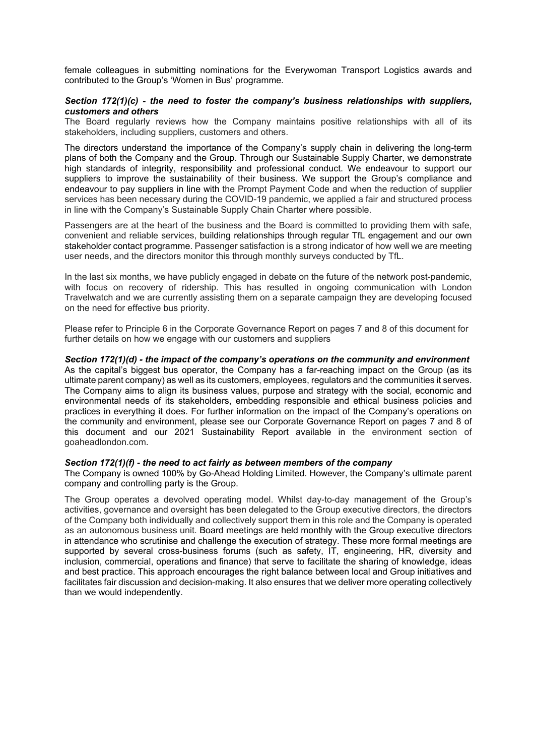female colleagues in submitting nominations for the Everywoman Transport Logistics awards and contributed to the Group's 'Women in Bus' programme.

## *Section 172(1)(c) - the need to foster the company's business relationships with suppliers, customers and others*

The Board regularly reviews how the Company maintains positive relationships with all of its stakeholders, including suppliers, customers and others.

The directors understand the importance of the Company's supply chain in delivering the long-term plans of both the Company and the Group. Through our Sustainable Supply Charter, we demonstrate high standards of integrity, responsibility and professional conduct. We endeavour to support our suppliers to improve the sustainability of their business. We support the Group's compliance and endeavour to pay suppliers in line with the Prompt Payment Code and when the reduction of supplier services has been necessary during the COVID-19 pandemic, we applied a fair and structured process in line with the Company's Sustainable Supply Chain Charter where possible.

Passengers are at the heart of the business and the Board is committed to providing them with safe, convenient and reliable services, building relationships through regular TfL engagement and our own stakeholder contact programme. Passenger satisfaction is a strong indicator of how well we are meeting user needs, and the directors monitor this through monthly surveys conducted by TfL.

In the last six months, we have publicly engaged in debate on the future of the network post-pandemic, with focus on recovery of ridership. This has resulted in ongoing communication with London Travelwatch and we are currently assisting them on a separate campaign they are developing focused on the need for effective bus priority.

Please refer to Principle 6 in the Corporate Governance Report on pages 7 and 8 of this document for further details on how we engage with our customers and suppliers

*Section 172(1)(d) - the impact of the company's operations on the community and environment* As the capital's biggest bus operator, the Company has a far-reaching impact on the Group (as its ultimate parent company) as well as its customers, employees, regulators and the communities it serves. The Company aims to align its business values, purpose and strategy with the social, economic and environmental needs of its stakeholders, embedding responsible and ethical business policies and practices in everything it does. For further information on the impact of the Company's operations on the community and environment, please see our Corporate Governance Report on pages 7 and 8 of this document and our 2021 Sustainability Report available in the environment section of goaheadlondon.com.

## *Section 172(1)(f) - the need to act fairly as between members of the company*

The Company is owned 100% by Go-Ahead Holding Limited. However, the Company's ultimate parent company and controlling party is the Group.

The Group operates a devolved operating model. Whilst day-to-day management of the Group's activities, governance and oversight has been delegated to the Group executive directors, the directors of the Company both individually and collectively support them in this role and the Company is operated as an autonomous business unit. Board meetings are held monthly with the Group executive directors in attendance who scrutinise and challenge the execution of strategy. These more formal meetings are supported by several cross-business forums (such as safety, IT, engineering, HR, diversity and inclusion, commercial, operations and finance) that serve to facilitate the sharing of knowledge, ideas and best practice. This approach encourages the right balance between local and Group initiatives and facilitates fair discussion and decision-making. It also ensures that we deliver more operating collectively than we would independently.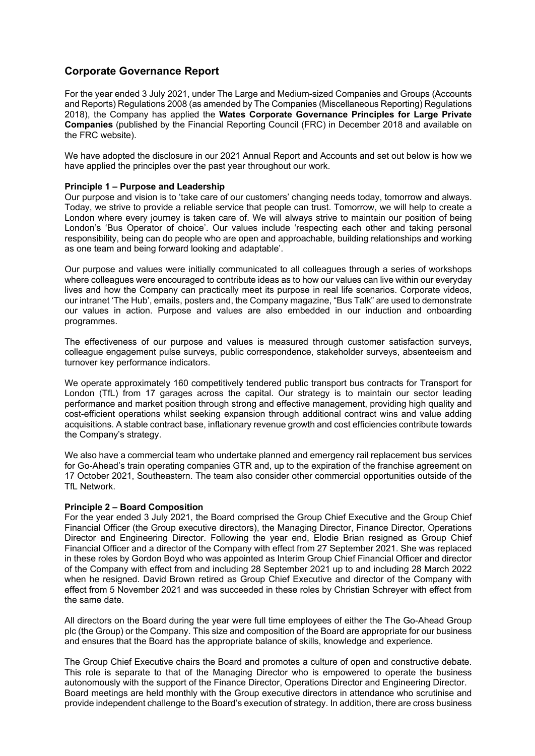# **Corporate Governance Report**

For the year ended 3 July 2021, under The Large and Medium-sized Companies and Groups (Accounts and Reports) Regulations 2008 (as amended by The Companies (Miscellaneous Reporting) Regulations 2018), the Company has applied the **Wates Corporate Governance Principles for Large Private Companies** (published by the Financial Reporting Council (FRC) in December 2018 and available on the FRC website).

We have adopted the disclosure in our 2021 Annual Report and Accounts and set out below is how we have applied the principles over the past year throughout our work.

## **Principle 1 – Purpose and Leadership**

Our purpose and vision is to 'take care of our customers' changing needs today, tomorrow and always. Today, we strive to provide a reliable service that people can trust. Tomorrow, we will help to create a London where every journey is taken care of. We will always strive to maintain our position of being London's 'Bus Operator of choice'. Our values include 'respecting each other and taking personal responsibility, being can do people who are open and approachable, building relationships and working as one team and being forward looking and adaptable'.

Our purpose and values were initially communicated to all colleagues through a series of workshops where colleagues were encouraged to contribute ideas as to how our values can live within our everyday lives and how the Company can practically meet its purpose in real life scenarios. Corporate videos, our intranet 'The Hub', emails, posters and, the Company magazine, "Bus Talk" are used to demonstrate our values in action. Purpose and values are also embedded in our induction and onboarding programmes.

The effectiveness of our purpose and values is measured through customer satisfaction surveys, colleague engagement pulse surveys, public correspondence, stakeholder surveys, absenteeism and turnover key performance indicators.

We operate approximately 160 competitively tendered public transport bus contracts for Transport for London (TfL) from 17 garages across the capital. Our strategy is to maintain our sector leading performance and market position through strong and effective management, providing high quality and cost-efficient operations whilst seeking expansion through additional contract wins and value adding acquisitions. A stable contract base, inflationary revenue growth and cost efficiencies contribute towards the Company's strategy.

We also have a commercial team who undertake planned and emergency rail replacement bus services for Go-Ahead's train operating companies GTR and, up to the expiration of the franchise agreement on 17 October 2021, Southeastern. The team also consider other commercial opportunities outside of the TfL Network.

## **Principle 2 – Board Composition**

For the year ended 3 July 2021, the Board comprised the Group Chief Executive and the Group Chief Financial Officer (the Group executive directors), the Managing Director, Finance Director, Operations Director and Engineering Director. Following the year end, Elodie Brian resigned as Group Chief Financial Officer and a director of the Company with effect from 27 September 2021. She was replaced in these roles by Gordon Boyd who was appointed as Interim Group Chief Financial Officer and director of the Company with effect from and including 28 September 2021 up to and including 28 March 2022 when he resigned. David Brown retired as Group Chief Executive and director of the Company with effect from 5 November 2021 and was succeeded in these roles by Christian Schreyer with effect from the same date.

All directors on the Board during the year were full time employees of either the The Go-Ahead Group plc (the Group) or the Company. This size and composition of the Board are appropriate for our business and ensures that the Board has the appropriate balance of skills, knowledge and experience.

The Group Chief Executive chairs the Board and promotes a culture of open and constructive debate. This role is separate to that of the Managing Director who is empowered to operate the business autonomously with the support of the Finance Director, Operations Director and Engineering Director. Board meetings are held monthly with the Group executive directors in attendance who scrutinise and provide independent challenge to the Board's execution of strategy. In addition, there are cross business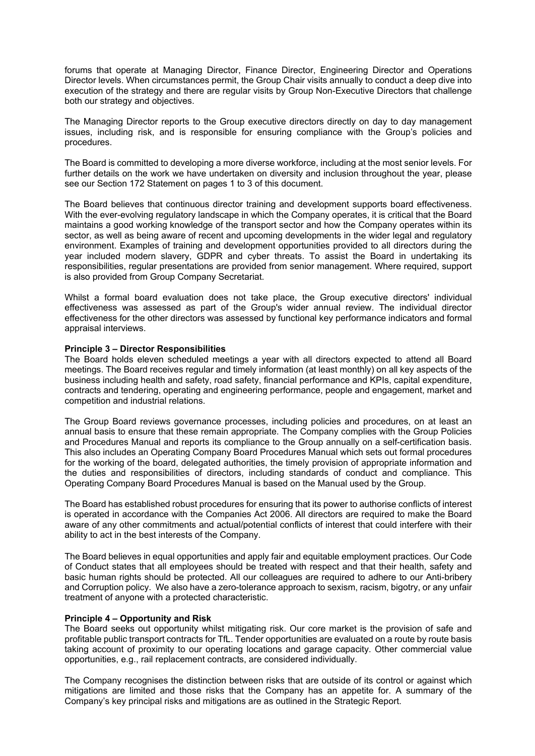forums that operate at Managing Director, Finance Director, Engineering Director and Operations Director levels. When circumstances permit, the Group Chair visits annually to conduct a deep dive into execution of the strategy and there are regular visits by Group Non-Executive Directors that challenge both our strategy and objectives.

The Managing Director reports to the Group executive directors directly on day to day management issues, including risk, and is responsible for ensuring compliance with the Group's policies and procedures.

The Board is committed to developing a more diverse workforce, including at the most senior levels. For further details on the work we have undertaken on diversity and inclusion throughout the year, please see our Section 172 Statement on pages 1 to 3 of this document.

The Board believes that continuous director training and development supports board effectiveness. With the ever-evolving regulatory landscape in which the Company operates, it is critical that the Board maintains a good working knowledge of the transport sector and how the Company operates within its sector, as well as being aware of recent and upcoming developments in the wider legal and regulatory environment. Examples of training and development opportunities provided to all directors during the year included modern slavery, GDPR and cyber threats. To assist the Board in undertaking its responsibilities, regular presentations are provided from senior management. Where required, support is also provided from Group Company Secretariat.

Whilst a formal board evaluation does not take place, the Group executive directors' individual effectiveness was assessed as part of the Group's wider annual review. The individual director effectiveness for the other directors was assessed by functional key performance indicators and formal appraisal interviews.

## **Principle 3 – Director Responsibilities**

The Board holds eleven scheduled meetings a year with all directors expected to attend all Board meetings. The Board receives regular and timely information (at least monthly) on all key aspects of the business including health and safety, road safety, financial performance and KPIs, capital expenditure, contracts and tendering, operating and engineering performance, people and engagement, market and competition and industrial relations.

The Group Board reviews governance processes, including policies and procedures, on at least an annual basis to ensure that these remain appropriate. The Company complies with the Group Policies and Procedures Manual and reports its compliance to the Group annually on a self-certification basis. This also includes an Operating Company Board Procedures Manual which sets out formal procedures for the working of the board, delegated authorities, the timely provision of appropriate information and the duties and responsibilities of directors, including standards of conduct and compliance. This Operating Company Board Procedures Manual is based on the Manual used by the Group.

The Board has established robust procedures for ensuring that its power to authorise conflicts of interest is operated in accordance with the Companies Act 2006. All directors are required to make the Board aware of any other commitments and actual/potential conflicts of interest that could interfere with their ability to act in the best interests of the Company.

The Board believes in equal opportunities and apply fair and equitable employment practices. Our Code of Conduct states that all employees should be treated with respect and that their health, safety and basic human rights should be protected. All our colleagues are required to adhere to our Anti-bribery and Corruption policy. We also have a zero-tolerance approach to sexism, racism, bigotry, or any unfair treatment of anyone with a protected characteristic.

## **Principle 4 – Opportunity and Risk**

The Board seeks out opportunity whilst mitigating risk. Our core market is the provision of safe and profitable public transport contracts for TfL. Tender opportunities are evaluated on a route by route basis taking account of proximity to our operating locations and garage capacity. Other commercial value opportunities, e.g., rail replacement contracts, are considered individually.

The Company recognises the distinction between risks that are outside of its control or against which mitigations are limited and those risks that the Company has an appetite for. A summary of the Company's key principal risks and mitigations are as outlined in the Strategic Report.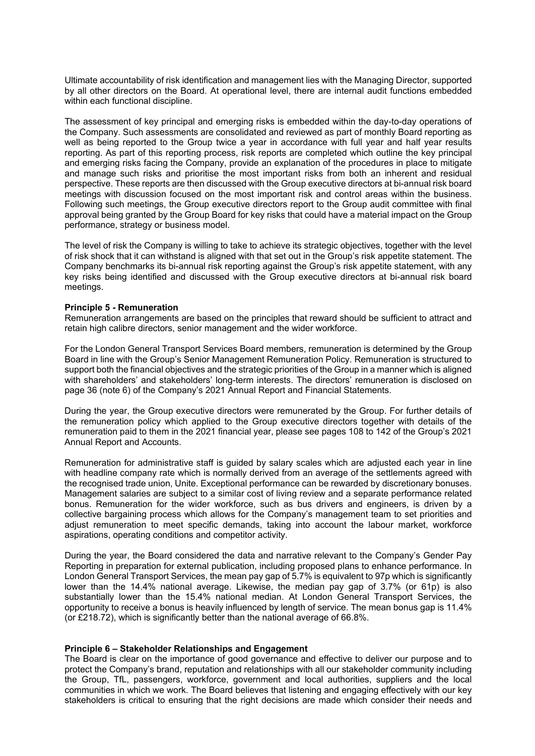Ultimate accountability of risk identification and management lies with the Managing Director, supported by all other directors on the Board. At operational level, there are internal audit functions embedded within each functional discipline.

The assessment of key principal and emerging risks is embedded within the day-to-day operations of the Company. Such assessments are consolidated and reviewed as part of monthly Board reporting as well as being reported to the Group twice a year in accordance with full year and half year results reporting. As part of this reporting process, risk reports are completed which outline the key principal and emerging risks facing the Company, provide an explanation of the procedures in place to mitigate and manage such risks and prioritise the most important risks from both an inherent and residual perspective. These reports are then discussed with the Group executive directors at bi-annual risk board meetings with discussion focused on the most important risk and control areas within the business. Following such meetings, the Group executive directors report to the Group audit committee with final approval being granted by the Group Board for key risks that could have a material impact on the Group performance, strategy or business model.

The level of risk the Company is willing to take to achieve its strategic objectives, together with the level of risk shock that it can withstand is aligned with that set out in the Group's risk appetite statement. The Company benchmarks its bi-annual risk reporting against the Group's risk appetite statement, with any key risks being identified and discussed with the Group executive directors at bi-annual risk board meetings.

## **Principle 5 - Remuneration**

Remuneration arrangements are based on the principles that reward should be sufficient to attract and retain high calibre directors, senior management and the wider workforce.

For the London General Transport Services Board members, remuneration is determined by the Group Board in line with the Group's Senior Management Remuneration Policy. Remuneration is structured to support both the financial objectives and the strategic priorities of the Group in a manner which is aligned with shareholders' and stakeholders' long-term interests. The directors' remuneration is disclosed on page 36 (note 6) of the Company's 2021 Annual Report and Financial Statements.

During the year, the Group executive directors were remunerated by the Group. For further details of the remuneration policy which applied to the Group executive directors together with details of the remuneration paid to them in the 2021 financial year, please see pages 108 to 142 of the Group's 2021 Annual Report and Accounts.

Remuneration for administrative staff is guided by salary scales which are adjusted each year in line with headline company rate which is normally derived from an average of the settlements agreed with the recognised trade union, Unite. Exceptional performance can be rewarded by discretionary bonuses. Management salaries are subject to a similar cost of living review and a separate performance related bonus. Remuneration for the wider workforce, such as bus drivers and engineers, is driven by a collective bargaining process which allows for the Company's management team to set priorities and adjust remuneration to meet specific demands, taking into account the labour market, workforce aspirations, operating conditions and competitor activity.

During the year, the Board considered the data and narrative relevant to the Company's Gender Pay Reporting in preparation for external publication, including proposed plans to enhance performance. In London General Transport Services, the mean pay gap of 5.7% is equivalent to 97p which is significantly lower than the 14.4% national average. Likewise, the median pay gap of 3.7% (or 61p) is also substantially lower than the 15.4% national median. At London General Transport Services, the opportunity to receive a bonus is heavily influenced by length of service. The mean bonus gap is 11.4% (or £218.72), which is significantly better than the national average of 66.8%.

## **Principle 6 – Stakeholder Relationships and Engagement**

The Board is clear on the importance of good governance and effective to deliver our purpose and to protect the Company's brand, reputation and relationships with all our stakeholder community including the Group, TfL, passengers, workforce, government and local authorities, suppliers and the local communities in which we work. The Board believes that listening and engaging effectively with our key stakeholders is critical to ensuring that the right decisions are made which consider their needs and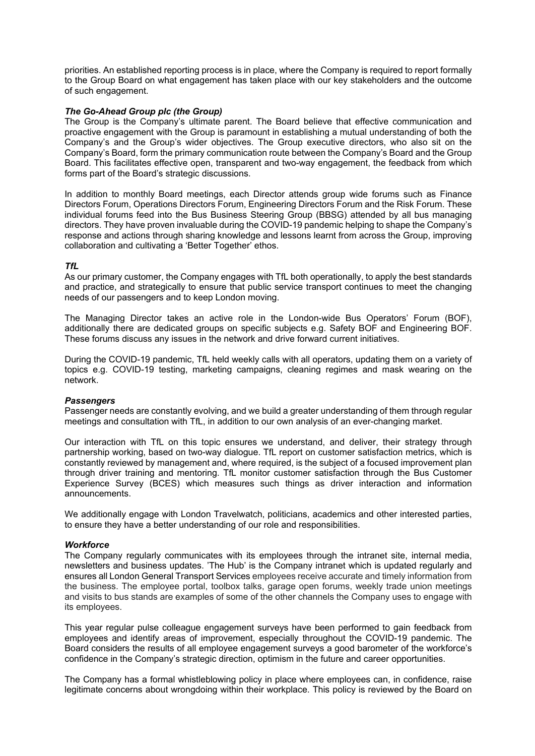priorities. An established reporting process is in place, where the Company is required to report formally to the Group Board on what engagement has taken place with our key stakeholders and the outcome of such engagement.

## *The Go-Ahead Group plc (the Group)*

The Group is the Company's ultimate parent. The Board believe that effective communication and proactive engagement with the Group is paramount in establishing a mutual understanding of both the Company's and the Group's wider objectives. The Group executive directors, who also sit on the Company's Board, form the primary communication route between the Company's Board and the Group Board. This facilitates effective open, transparent and two-way engagement, the feedback from which forms part of the Board's strategic discussions.

In addition to monthly Board meetings, each Director attends group wide forums such as Finance Directors Forum, Operations Directors Forum, Engineering Directors Forum and the Risk Forum. These individual forums feed into the Bus Business Steering Group (BBSG) attended by all bus managing directors. They have proven invaluable during the COVID-19 pandemic helping to shape the Company's response and actions through sharing knowledge and lessons learnt from across the Group, improving collaboration and cultivating a 'Better Together' ethos.

## *TfL*

As our primary customer, the Company engages with TfL both operationally, to apply the best standards and practice, and strategically to ensure that public service transport continues to meet the changing needs of our passengers and to keep London moving.

The Managing Director takes an active role in the London-wide Bus Operators' Forum (BOF), additionally there are dedicated groups on specific subjects e.g. Safety BOF and Engineering BOF. These forums discuss any issues in the network and drive forward current initiatives.

During the COVID-19 pandemic, TfL held weekly calls with all operators, updating them on a variety of topics e.g. COVID-19 testing, marketing campaigns, cleaning regimes and mask wearing on the network.

## *Passengers*

Passenger needs are constantly evolving, and we build a greater understanding of them through regular meetings and consultation with TfL, in addition to our own analysis of an ever-changing market.

Our interaction with TfL on this topic ensures we understand, and deliver, their strategy through partnership working, based on two-way dialogue. TfL report on customer satisfaction metrics, which is constantly reviewed by management and, where required, is the subject of a focused improvement plan through driver training and mentoring. TfL monitor customer satisfaction through the Bus Customer Experience Survey (BCES) which measures such things as driver interaction and information announcements.

We additionally engage with London Travelwatch, politicians, academics and other interested parties, to ensure they have a better understanding of our role and responsibilities.

## *Workforce*

The Company regularly communicates with its employees through the intranet site, internal media, newsletters and business updates. 'The Hub' is the Company intranet which is updated regularly and ensures all London General Transport Services employees receive accurate and timely information from the business. The employee portal, toolbox talks, garage open forums, weekly trade union meetings and visits to bus stands are examples of some of the other channels the Company uses to engage with its employees.

This year regular pulse colleague engagement surveys have been performed to gain feedback from employees and identify areas of improvement, especially throughout the COVID-19 pandemic. The Board considers the results of all employee engagement surveys a good barometer of the workforce's confidence in the Company's strategic direction, optimism in the future and career opportunities.

The Company has a formal whistleblowing policy in place where employees can, in confidence, raise legitimate concerns about wrongdoing within their workplace. This policy is reviewed by the Board on